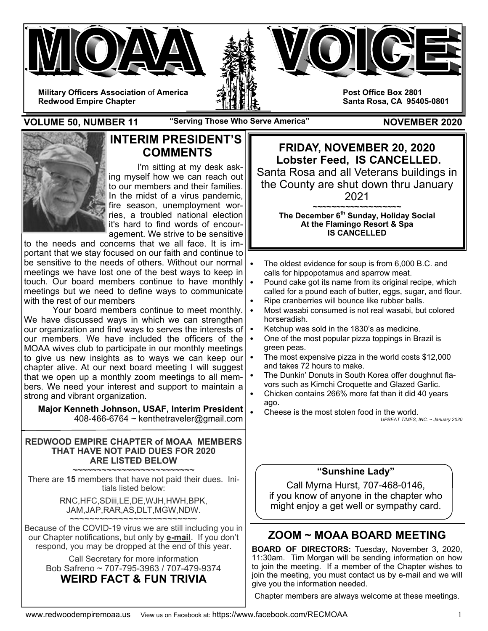

**VOLUME 50, NUMBER 11** "Serving Those Who Serve America" NOVEMBER 2020



## **INTERIM PRESIDENT'S COMMENTS**

I'm sitting at my desk asking myself how we can reach out to our members and their families. In the midst of a virus pandemic, fire season, unemployment worries, a troubled national election it's hard to find words of encouragement. We strive to be sensitive

to the needs and concerns that we all face. It is important that we stay focused on our faith and continue to be sensitive to the needs of others. Without our normal  $\cdot$ meetings we have lost one of the best ways to keep in touch. Our board members continue to have monthly  $\cdot$ meetings but we need to define ways to communicate with the rest of our members

 Your board members continue to meet monthly. We have discussed ways in which we can strengthen our organization and find ways to serves the interests of  $\cdot$ our members. We have included the officers of the MOAA wives club to participate in our monthly meetings to give us new insights as to ways we can keep our • chapter alive. At our next board meeting I will suggest that we open up a monthly zoom meetings to all members. We need your interest and support to maintain a strong and vibrant organization.

**Major Kenneth Johnson, USAF, Interim President**  408-466-6764 ~ kenthetraveler@gmail.com

#### **REDWOOD EMPIRE CHAPTER of MOAA MEMBERS THAT HAVE NOT PAID DUES FOR 2020 ARE LISTED BELOW**

**~~~~~~~~~~~~~~~~~~~~~~~~~**  There are **15** members that have not paid their dues. Initials listed below:

> RNC,HFC,SDiii,LE,DE,WJH,HWH,BPK, JAM,JAP,RAR,AS,DLT,MGW,NDW. ~~~~~~~~~~~~~~~~~~~~~~~~~

Because of the COVID-19 virus we are still including you in our Chapter notifications, but only by **e-mail**. If you don't respond, you may be dropped at the end of this year.

Call Secretary for more information Bob Safreno ~ 707-795-3963 / 707-479-9374

# **WEIRD FACT & FUN TRIVIA**

**FRIDAY, NOVEMBER 20, 2020 Lobster Feed, IS CANCELLED.**  Santa Rosa and all Veterans buildings in the County are shut down thru January 2021

> **~~~~~~~~~~~~~~~~~~~ The December 6th Sunday, Holiday Social At the Flamingo Resort & Spa IS CANCELLED**

- The oldest evidence for soup is from 6,000 B.C. and calls for hippopotamus and sparrow meat.
- Pound cake got its name from its original recipe, which called for a pound each of butter, eggs, sugar, and flour.
- Ripe cranberries will bounce like rubber balls.
- Most wasabi consumed is not real wasabi, but colored horseradish.
- Ketchup was sold in the 1830's as medicine.
- One of the most popular pizza toppings in Brazil is green peas.
- The most expensive pizza in the world costs \$12,000 and takes 72 hours to make.
- The Dunkin' Donuts in South Korea offer doughnut flavors such as Kimchi Croquette and Glazed Garlic.
- Chicken contains 266% more fat than it did 40 years ago.
- Cheese is the most stolen food in the world. *UPBEAT TIMES, INC. ~ January 2020*

### **"Sunshine Lady"**

Call Myrna Hurst, 707-468-0146, if you know of anyone in the chapter who might enjoy a get well or sympathy card.

# **ZOOM ~ MOAA BOARD MEETING**

**BOARD OF DIRECTORS:** Tuesday, November 3, 2020, 11:30am. Tim Morgan will be sending information on how to join the meeting. If a member of the Chapter wishes to join the meeting, you must contact us by e-mail and we will give you the information needed.

Chapter members are always welcome at these meetings.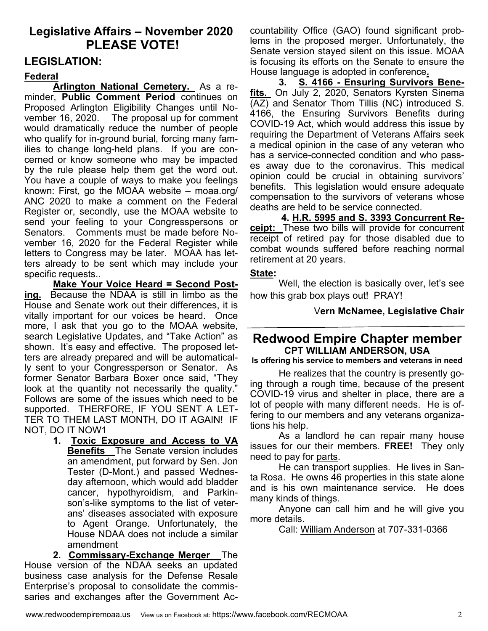# **Legislative Affairs – November 2020 PLEASE VOTE!**

## **LEGISLATION:**

## **Federal**

**Arlington National Cemetery.** As a reminder, **Public Comment Period** continues on Proposed Arlington Eligibility Changes until November 16, 2020. The proposal up for comment would dramatically reduce the number of people who qualify for in-ground burial, forcing many families to change long-held plans. If you are concerned or know someone who may be impacted by the rule please help them get the word out. You have a couple of ways to make you feelings known: First, go the MOAA website – moaa.org/ ANC 2020 to make a comment on the Federal Register or, secondly, use the MOAA website to send your feeling to your Congresspersons or Senators. Comments must be made before November 16, 2020 for the Federal Register while letters to Congress may be later. MOAA has letters already to be sent which may include your specific requests..

**Make Your Voice Heard = Second Posting.** Because the NDAA is still in limbo as the House and Senate work out their differences, it is vitally important for our voices be heard. Once more, I ask that you go to the MOAA website, search Legislative Updates, and "Take Action" as shown. It's easy and effective. The proposed letters are already prepared and will be automatically sent to your Congressperson or Senator. As former Senator Barbara Boxer once said, "They look at the quantity not necessarily the quality." Follows are some of the issues which need to be supported. THERFORE, IF YOU SENT A LET-TER TO THEM LAST MONTH, DO IT AGAIN! IF NOT, DO IT NOW1

> **1. Toxic Exposure and Access to VA Benefits** The Senate version includes an amendment, put forward by Sen. Jon Tester (D-Mont.) and passed Wednesday afternoon, which would add bladder cancer, hypothyroidism, and Parkinson's-like symptoms to the list of veterans' diseases associated with exposure to Agent Orange. Unfortunately, the House NDAA does not include a similar amendment

**2. Commissary-Exchange Merger** The House version of the NDAA seeks an updated business case analysis for the Defense Resale Enterprise's proposal to consolidate the commissaries and exchanges after the Government Accountability Office (GAO) found significant problems in the proposed merger. Unfortunately, the Senate version stayed silent on this issue. MOAA is focusing its efforts on the Senate to ensure the House language is adopted in conference**.** 

**3. S. 4166 - Ensuring Survivors Benefits.** On July 2, 2020, Senators Kyrsten Sinema  $\overline{(AZ)}$  and Senator Thom Tillis (NC) introduced S. 4166, the Ensuring Survivors Benefits during COVID-19 Act, which would address this issue by requiring the Department of Veterans Affairs seek a medical opinion in the case of any veteran who has a service-connected condition and who passes away due to the coronavirus. This medical opinion could be crucial in obtaining survivors' benefits. This legislation would ensure adequate compensation to the survivors of veterans whose deaths are held to be service connected.

**4. H.R. 5995 and S. 3393 Concurrent Receipt:** These two bills will provide for concurrent receipt of retired pay for those disabled due to combat wounds suffered before reaching normal retirement at 20 years.

#### **State:**

Well, the election is basically over, let's see how this grab box plays out! PRAY!

V**ern McNamee, Legislative Chair** 

## **Redwood Empire Chapter member CPT WILLIAM ANDERSON, USA**

**Is offering his service to members and veterans in need** 

 He realizes that the country is presently going through a rough time, because of the present COVID-19 virus and shelter in place, there are a lot of people with many different needs. He is offering to our members and any veterans organizations his help.

 As a landlord he can repair many house issues for our their members. **FREE!** They only need to pay for parts.

 He can transport supplies. He lives in Santa Rosa. He owns 46 properties in this state alone and is his own maintenance service. He does many kinds of things.

 Anyone can call him and he will give you more details.

Call: William Anderson at 707-331-0366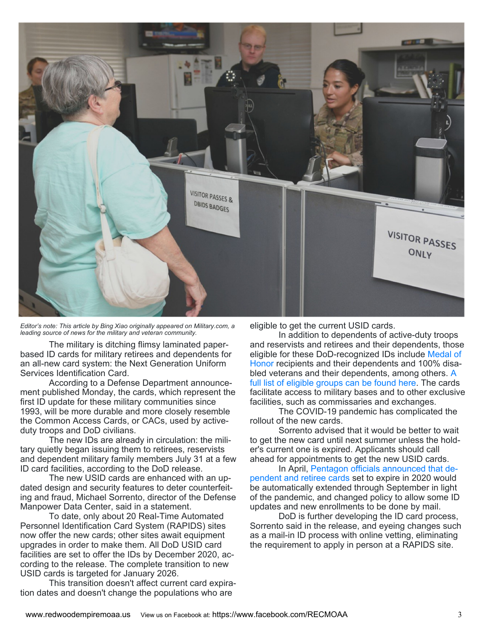

*Editor's note: This article by Bing Xiao originally appeared on Military.com, a leading source of news for the military and veteran community.*

 The military is ditching flimsy laminated paperbased ID cards for military retirees and dependents for an all-new card system: the Next Generation Uniform Services Identification Card.

 According to a Defense Department announcement published Monday, the cards, which represent the first ID update for these military communities since 1993, will be more durable and more closely resemble the Common Access Cards, or CACs, used by activeduty troops and DoD civilians.

 The new IDs are already in circulation: the military quietly began issuing them to retirees, reservists and dependent military family members July 31 at a few ID card facilities, according to the DoD release.

 The new USID cards are enhanced with an updated design and security features to deter counterfeiting and fraud, Michael Sorrento, director of the Defense Manpower Data Center, said in a statement.

 To date, only about 20 Real-Time Automated Personnel Identification Card System (RAPIDS) sites now offer the new cards; other sites await equipment upgrades in order to make them. All DoD USID card facilities are set to offer the IDs by December 2020, according to the release. The complete transition to new USID cards is targeted for January 2026.

 This transition doesn't affect current card expiration dates and doesn't change the populations who are

eligible to get the current USID cards.

 In addition to dependents of active-duty troops and reservists and retirees and their dependents, those eligible for these DoD-recognized IDs include Medal of Honor recipients and their dependents and 100% disabled veterans and their dependents, among others. A full list of eligible groups can be found here. The cards facilitate access to military bases and to other exclusive facilities, such as commissaries and exchanges.

 The COVID-19 pandemic has complicated the rollout of the new cards.

 Sorrento advised that it would be better to wait to get the new card until next summer unless the holder's current one is expired. Applicants should call ahead for appointments to get the new USID cards.

 In April, Pentagon officials announced that dependent and retiree cards set to expire in 2020 would be automatically extended through September in light of the pandemic, and changed policy to allow some ID updates and new enrollments to be done by mail.

 DoD is further developing the ID card process, Sorrento said in the release, and eyeing changes such as a mail-in ID process with online vetting, eliminating the requirement to apply in person at a RAPIDS site.